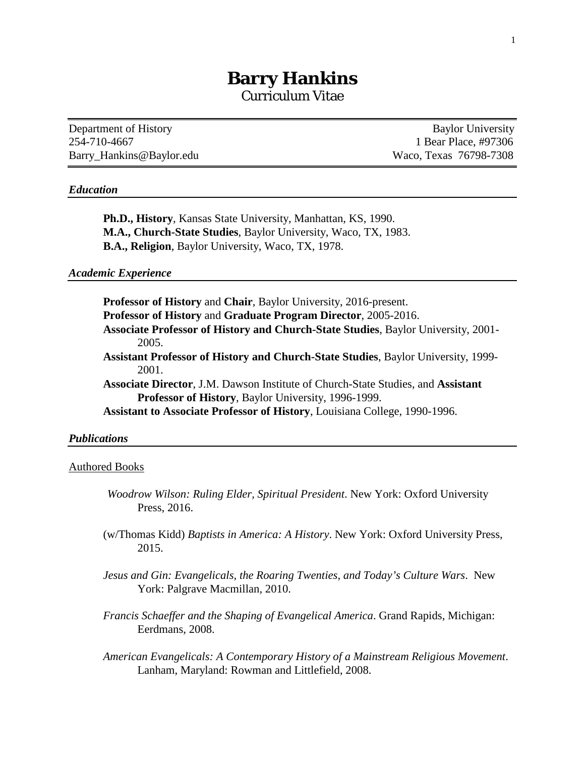# **Barry Hankins** Curriculum Vitae

Department of History Baylor University 254-710-4667 1 Bear Place, #97306 Barry Hankins@Baylor.edu Waco, Texas 76798-7308

## *Education*

**Ph.D., History**, Kansas State University, Manhattan, KS, 1990. **M.A., Church-State Studies**, Baylor University, Waco, TX, 1983. **B.A., Religion**, Baylor University, Waco, TX, 1978.

# *Academic Experience*

**Professor of History** and **Chair**, Baylor University, 2016-present. **Professor of History** and **Graduate Program Director**, 2005-2016. **Associate Professor of History and Church-State Studies**, Baylor University, 2001- 2005. **Assistant Professor of History and Church-State Studies**, Baylor University, 1999- 2001. **Associate Director**, J.M. Dawson Institute of Church-State Studies, and **Assistant Professor of History**, Baylor University, 1996-1999. **Assistant to Associate Professor of History**, Louisiana College, 1990-1996. *Publications*

# Authored Books

- *Woodrow Wilson: Ruling Elder, Spiritual President*. New York: Oxford University Press, 2016.
- (w/Thomas Kidd) *Baptists in America: A History*. New York: Oxford University Press, 2015.
- *Jesus and Gin: Evangelicals, the Roaring Twenties, and Today's Culture Wars*. New York: Palgrave Macmillan, 2010.
- *Francis Schaeffer and the Shaping of Evangelical America*. Grand Rapids, Michigan: Eerdmans, 2008.
- *American Evangelicals: A Contemporary History of a Mainstream Religious Movement*. Lanham, Maryland: Rowman and Littlefield, 2008.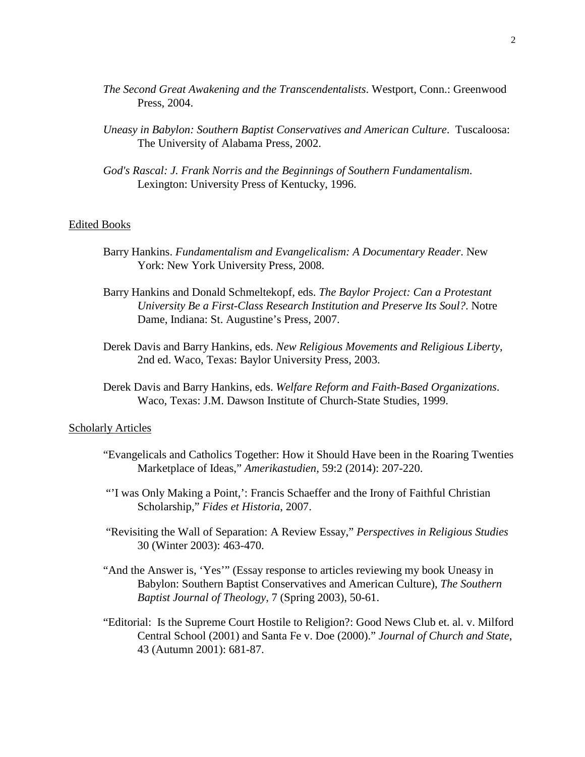- *The Second Great Awakening and the Transcendentalists*. Westport, Conn.: Greenwood Press, 2004.
- *Uneasy in Babylon: Southern Baptist Conservatives and American Culture*. Tuscaloosa: The University of Alabama Press, 2002.
- *God's Rascal: J. Frank Norris and the Beginnings of Southern Fundamentalism*. Lexington: University Press of Kentucky, 1996.

## Edited Books

- Barry Hankins. *Fundamentalism and Evangelicalism: A Documentary Reader*. New York: New York University Press, 2008.
- Barry Hankins and Donald Schmeltekopf, eds. *The Baylor Project: Can a Protestant University Be a First-Class Research Institution and Preserve Its Soul?*. Notre Dame, Indiana: St. Augustine's Press, 2007.
- Derek Davis and Barry Hankins, eds. *New Religious Movements and Religious Liberty*, 2nd ed. Waco, Texas: Baylor University Press, 2003.
- Derek Davis and Barry Hankins, eds. *Welfare Reform and Faith-Based Organizations*. Waco, Texas: J.M. Dawson Institute of Church-State Studies, 1999.

### **Scholarly Articles**

- "Evangelicals and Catholics Together: How it Should Have been in the Roaring Twenties Marketplace of Ideas," *Amerikastudien*, 59:2 (2014): 207-220.
- "'I was Only Making a Point,': Francis Schaeffer and the Irony of Faithful Christian Scholarship," *Fides et Historia*, 2007.
- "Revisiting the Wall of Separation: A Review Essay," *Perspectives in Religious Studies* 30 (Winter 2003): 463-470.
- "And the Answer is, 'Yes'" (Essay response to articles reviewing my book Uneasy in Babylon: Southern Baptist Conservatives and American Culture), *The Southern Baptist Journal of Theology*, 7 (Spring 2003), 50-61.
- "Editorial: Is the Supreme Court Hostile to Religion?: Good News Club et. al. v. Milford Central School (2001) and Santa Fe v. Doe (2000)." *Journal of Church and State*, 43 (Autumn 2001): 681-87.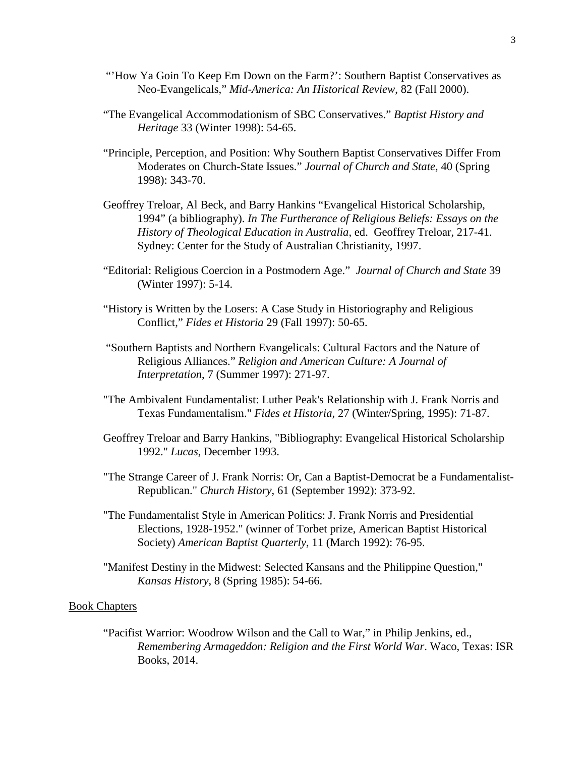- "How Ya Goin To Keep Em Down on the Farm?": Southern Baptist Conservatives as Neo-Evangelicals," *Mid-America: An Historical Review*, 82 (Fall 2000).
- "The Evangelical Accommodationism of SBC Conservatives." *Baptist History and Heritage* 33 (Winter 1998): 54-65.
- "Principle, Perception, and Position: Why Southern Baptist Conservatives Differ From Moderates on Church-State Issues." *Journal of Church and State*, 40 (Spring 1998): 343-70.
- Geoffrey Treloar, Al Beck, and Barry Hankins "Evangelical Historical Scholarship, 1994" (a bibliography). *In The Furtherance of Religious Beliefs: Essays on the History of Theological Education in Australia*, ed. Geoffrey Treloar, 217-41. Sydney: Center for the Study of Australian Christianity, 1997.
- "Editorial: Religious Coercion in a Postmodern Age." *Journal of Church and State* 39 (Winter 1997): 5-14.
- "History is Written by the Losers: A Case Study in Historiography and Religious Conflict," *Fides et Historia* 29 (Fall 1997): 50-65.
- "Southern Baptists and Northern Evangelicals: Cultural Factors and the Nature of Religious Alliances." *Religion and American Culture: A Journal of Interpretation*, 7 (Summer 1997): 271-97.
- "The Ambivalent Fundamentalist: Luther Peak's Relationship with J. Frank Norris and Texas Fundamentalism." *Fides et Historia*, 27 (Winter/Spring, 1995): 71-87.
- Geoffrey Treloar and Barry Hankins, "Bibliography: Evangelical Historical Scholarship 1992." *Lucas*, December 1993.
- "The Strange Career of J. Frank Norris: Or, Can a Baptist-Democrat be a Fundamentalist-Republican." *Church History*, 61 (September 1992): 373-92.
- "The Fundamentalist Style in American Politics: J. Frank Norris and Presidential Elections, 1928-1952." (winner of Torbet prize, American Baptist Historical Society) *American Baptist Quarterly*, 11 (March 1992): 76-95.
- "Manifest Destiny in the Midwest: Selected Kansans and the Philippine Question," *Kansas History*, 8 (Spring 1985): 54-66.

# Book Chapters

"Pacifist Warrior: Woodrow Wilson and the Call to War," in Philip Jenkins, ed., *Remembering Armageddon: Religion and the First World War*. Waco, Texas: ISR Books, 2014.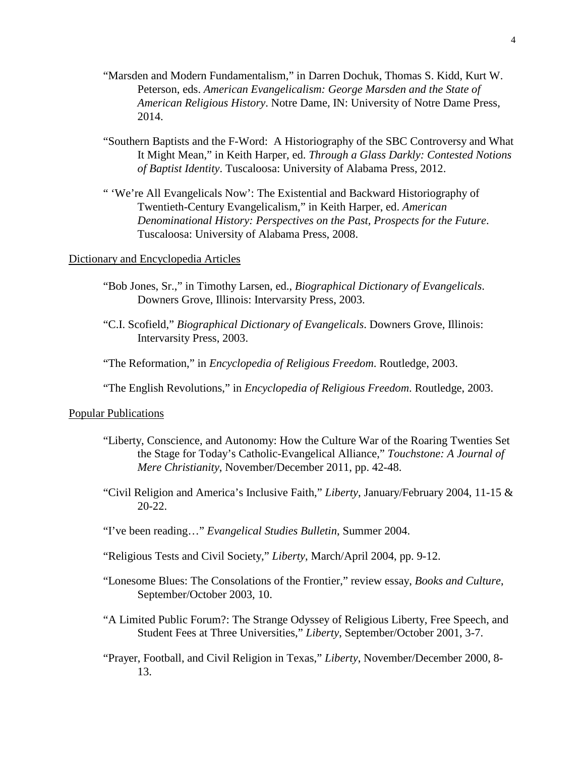- "Marsden and Modern Fundamentalism," in Darren Dochuk, Thomas S. Kidd, Kurt W. Peterson, eds. *American Evangelicalism: George Marsden and the State of American Religious History*. Notre Dame, IN: University of Notre Dame Press, 2014.
- "Southern Baptists and the F-Word: A Historiography of the SBC Controversy and What It Might Mean," in Keith Harper, ed. *Through a Glass Darkly: Contested Notions of Baptist Identity*. Tuscaloosa: University of Alabama Press, 2012.
- " 'We're All Evangelicals Now': The Existential and Backward Historiography of Twentieth-Century Evangelicalism," in Keith Harper, ed. *American Denominational History: Perspectives on the Past, Prospects for the Future*. Tuscaloosa: University of Alabama Press, 2008.

# Dictionary and Encyclopedia Articles

- "Bob Jones, Sr.," in Timothy Larsen, ed., *Biographical Dictionary of Evangelicals*. Downers Grove, Illinois: Intervarsity Press, 2003.
- "C.I. Scofield," *Biographical Dictionary of Evangelicals*. Downers Grove, Illinois: Intervarsity Press, 2003.
- "The Reformation," in *Encyclopedia of Religious Freedom*. Routledge, 2003.
- "The English Revolutions," in *Encyclopedia of Religious Freedom*. Routledge, 2003.

#### Popular Publications

- "Liberty, Conscience, and Autonomy: How the Culture War of the Roaring Twenties Set the Stage for Today's Catholic-Evangelical Alliance," *Touchstone: A Journal of Mere Christianity*, November/December 2011, pp. 42-48.
- "Civil Religion and America's Inclusive Faith," *Liberty*, January/February 2004, 11-15 & 20-22.
- "I've been reading…" *Evangelical Studies Bulletin*, Summer 2004.
- "Religious Tests and Civil Society," *Liberty*, March/April 2004, pp. 9-12.
- "Lonesome Blues: The Consolations of the Frontier," review essay, *Books and Culture*, September/October 2003, 10.
- "A Limited Public Forum?: The Strange Odyssey of Religious Liberty, Free Speech, and Student Fees at Three Universities," *Liberty*, September/October 2001, 3-7.
- "Prayer, Football, and Civil Religion in Texas," *Liberty*, November/December 2000, 8- 13.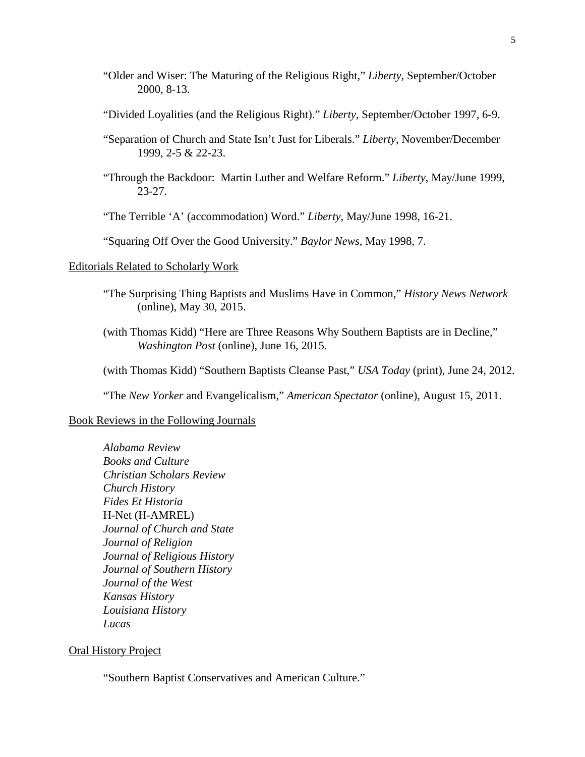- "Older and Wiser: The Maturing of the Religious Right," *Liberty*, September/October 2000, 8-13.
- "Divided Loyalities (and the Religious Right)." *Liberty*, September/October 1997, 6-9.
- "Separation of Church and State Isn't Just for Liberals." *Liberty*, November/December 1999, 2-5 & 22-23.
- "Through the Backdoor: Martin Luther and Welfare Reform." *Liberty*, May/June 1999, 23-27.
- "The Terrible 'A' (accommodation) Word." *Liberty*, May/June 1998, 16-21.

"Squaring Off Over the Good University." *Baylor News*, May 1998, 7.

#### Editorials Related to Scholarly Work

- "The Surprising Thing Baptists and Muslims Have in Common," *History News Network* (online), May 30, 2015.
- (with Thomas Kidd) "Here are Three Reasons Why Southern Baptists are in Decline," *Washington Post* (online), June 16, 2015.
- (with Thomas Kidd) "Southern Baptists Cleanse Past," *USA Today* (print), June 24, 2012.

"The *New Yorker* and Evangelicalism," *American Spectator* (online), August 15, 2011.

## Book Reviews in the Following Journals

*Alabama Review Books and Culture Christian Scholars Review Church History Fides Et Historia*  H-Net (H-AMREL) *Journal of Church and State Journal of Religion Journal of Religious History Journal of Southern History Journal of the West Kansas History Louisiana History Lucas*

#### Oral History Project

"Southern Baptist Conservatives and American Culture."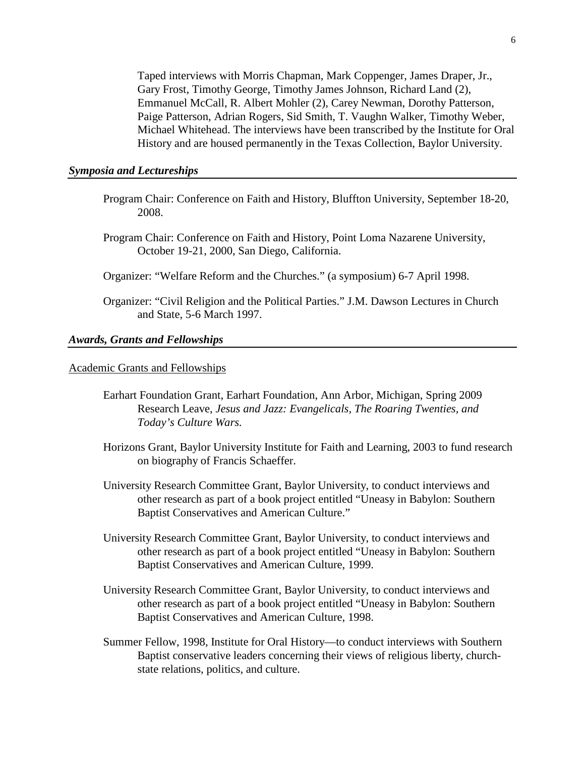Taped interviews with Morris Chapman, Mark Coppenger, James Draper, Jr., Gary Frost, Timothy George, Timothy James Johnson, Richard Land (2), Emmanuel McCall, R. Albert Mohler (2), Carey Newman, Dorothy Patterson, Paige Patterson, Adrian Rogers, Sid Smith, T. Vaughn Walker, Timothy Weber, Michael Whitehead. The interviews have been transcribed by the Institute for Oral History and are housed permanently in the Texas Collection, Baylor University.

## *Symposia and Lectureships*

- Program Chair: Conference on Faith and History, Bluffton University, September 18-20, 2008.
- Program Chair: Conference on Faith and History, Point Loma Nazarene University, October 19-21, 2000, San Diego, California.
- Organizer: "Welfare Reform and the Churches." (a symposium) 6-7 April 1998.
- Organizer: "Civil Religion and the Political Parties." J.M. Dawson Lectures in Church and State, 5-6 March 1997.

## *Awards, Grants and Fellowships*

#### Academic Grants and Fellowships

- Earhart Foundation Grant, Earhart Foundation, Ann Arbor, Michigan, Spring 2009 Research Leave, *Jesus and Jazz: Evangelicals, The Roaring Twenties, and Today's Culture Wars.*
- Horizons Grant, Baylor University Institute for Faith and Learning, 2003 to fund research on biography of Francis Schaeffer.
- University Research Committee Grant, Baylor University, to conduct interviews and other research as part of a book project entitled "Uneasy in Babylon: Southern Baptist Conservatives and American Culture."
- University Research Committee Grant, Baylor University, to conduct interviews and other research as part of a book project entitled "Uneasy in Babylon: Southern Baptist Conservatives and American Culture, 1999.
- University Research Committee Grant, Baylor University, to conduct interviews and other research as part of a book project entitled "Uneasy in Babylon: Southern Baptist Conservatives and American Culture, 1998.
- Summer Fellow, 1998, Institute for Oral History—to conduct interviews with Southern Baptist conservative leaders concerning their views of religious liberty, churchstate relations, politics, and culture.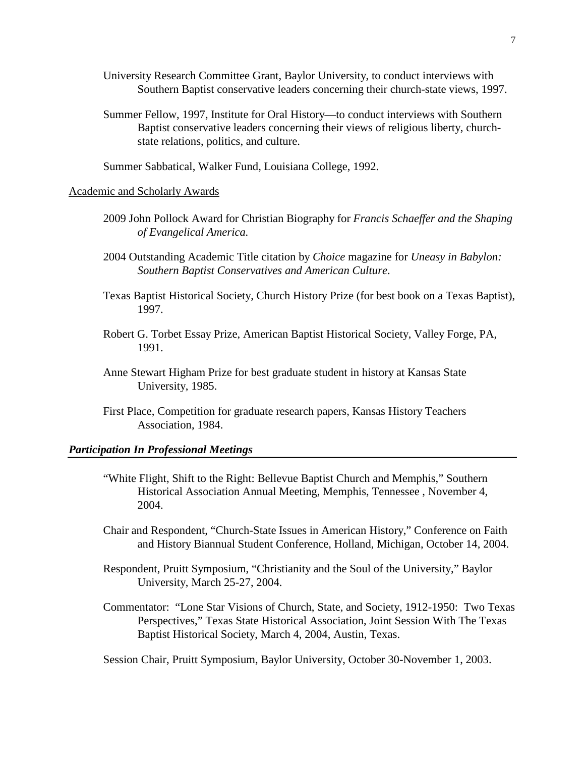- University Research Committee Grant, Baylor University, to conduct interviews with Southern Baptist conservative leaders concerning their church-state views, 1997.
- Summer Fellow, 1997, Institute for Oral History—to conduct interviews with Southern Baptist conservative leaders concerning their views of religious liberty, churchstate relations, politics, and culture.

Summer Sabbatical, Walker Fund, Louisiana College, 1992.

## Academic and Scholarly Awards

- 2009 John Pollock Award for Christian Biography for *Francis Schaeffer and the Shaping of Evangelical America.*
- 2004 Outstanding Academic Title citation by *Choice* magazine for *Uneasy in Babylon: Southern Baptist Conservatives and American Culture*.
- Texas Baptist Historical Society, Church History Prize (for best book on a Texas Baptist), 1997.
- Robert G. Torbet Essay Prize, American Baptist Historical Society, Valley Forge, PA, 1991.
- Anne Stewart Higham Prize for best graduate student in history at Kansas State University, 1985.
- First Place, Competition for graduate research papers, Kansas History Teachers Association, 1984.

#### *Participation In Professional Meetings*

- "White Flight, Shift to the Right: Bellevue Baptist Church and Memphis," Southern Historical Association Annual Meeting, Memphis, Tennessee , November 4, 2004.
- Chair and Respondent, "Church-State Issues in American History," Conference on Faith and History Biannual Student Conference, Holland, Michigan, October 14, 2004.
- Respondent, Pruitt Symposium, "Christianity and the Soul of the University," Baylor University, March 25-27, 2004.
- Commentator: "Lone Star Visions of Church, State, and Society, 1912-1950: Two Texas Perspectives," Texas State Historical Association, Joint Session With The Texas Baptist Historical Society, March 4, 2004, Austin, Texas.

Session Chair, Pruitt Symposium, Baylor University, October 30-November 1, 2003.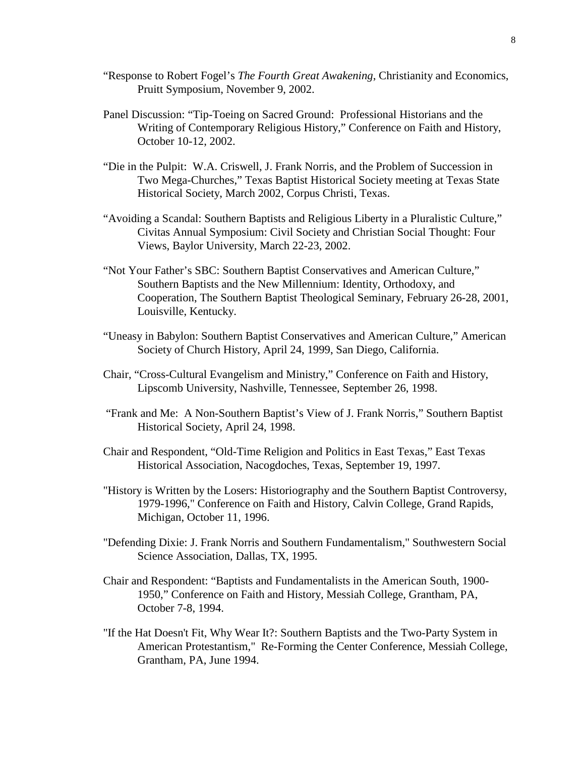- "Response to Robert Fogel's *The Fourth Great Awakening*, Christianity and Economics, Pruitt Symposium, November 9, 2002.
- Panel Discussion: "Tip-Toeing on Sacred Ground: Professional Historians and the Writing of Contemporary Religious History," Conference on Faith and History, October 10-12, 2002.
- "Die in the Pulpit: W.A. Criswell, J. Frank Norris, and the Problem of Succession in Two Mega-Churches," Texas Baptist Historical Society meeting at Texas State Historical Society, March 2002, Corpus Christi, Texas.
- "Avoiding a Scandal: Southern Baptists and Religious Liberty in a Pluralistic Culture," Civitas Annual Symposium: Civil Society and Christian Social Thought: Four Views, Baylor University, March 22-23, 2002.
- "Not Your Father's SBC: Southern Baptist Conservatives and American Culture," Southern Baptists and the New Millennium: Identity, Orthodoxy, and Cooperation, The Southern Baptist Theological Seminary, February 26-28, 2001, Louisville, Kentucky.
- "Uneasy in Babylon: Southern Baptist Conservatives and American Culture," American Society of Church History, April 24, 1999, San Diego, California.
- Chair, "Cross-Cultural Evangelism and Ministry," Conference on Faith and History, Lipscomb University, Nashville, Tennessee, September 26, 1998.
- "Frank and Me: A Non-Southern Baptist's View of J. Frank Norris," Southern Baptist Historical Society, April 24, 1998.
- Chair and Respondent, "Old-Time Religion and Politics in East Texas," East Texas Historical Association, Nacogdoches, Texas, September 19, 1997.
- "History is Written by the Losers: Historiography and the Southern Baptist Controversy, 1979-1996," Conference on Faith and History, Calvin College, Grand Rapids, Michigan, October 11, 1996.
- "Defending Dixie: J. Frank Norris and Southern Fundamentalism," Southwestern Social Science Association, Dallas, TX, 1995.
- Chair and Respondent: "Baptists and Fundamentalists in the American South, 1900- 1950," Conference on Faith and History, Messiah College, Grantham, PA, October 7-8, 1994.
- "If the Hat Doesn't Fit, Why Wear It?: Southern Baptists and the Two-Party System in American Protestantism," Re-Forming the Center Conference, Messiah College, Grantham, PA, June 1994.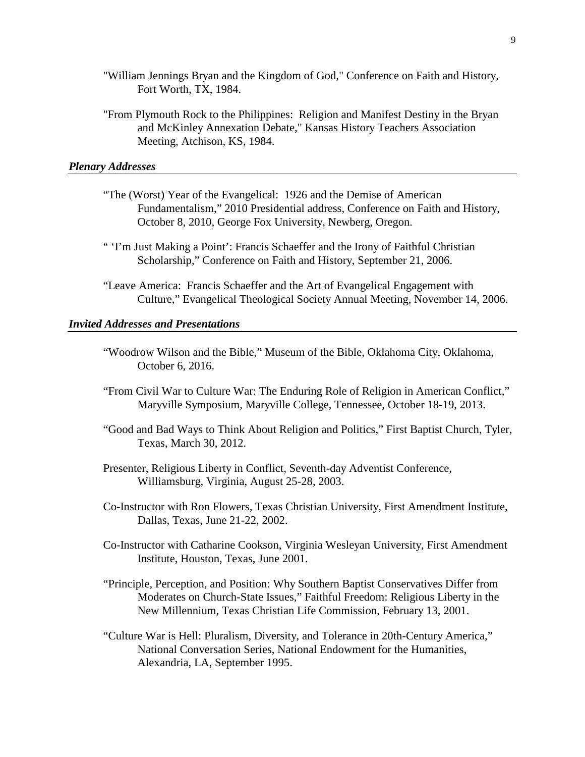- "William Jennings Bryan and the Kingdom of God," Conference on Faith and History, Fort Worth, TX, 1984.
- "From Plymouth Rock to the Philippines: Religion and Manifest Destiny in the Bryan and McKinley Annexation Debate," Kansas History Teachers Association Meeting, Atchison, KS, 1984.

## *Plenary Addresses*

- "The (Worst) Year of the Evangelical: 1926 and the Demise of American Fundamentalism," 2010 Presidential address, Conference on Faith and History, October 8, 2010, George Fox University, Newberg, Oregon.
- " 'I'm Just Making a Point': Francis Schaeffer and the Irony of Faithful Christian Scholarship," Conference on Faith and History, September 21, 2006.
- "Leave America: Francis Schaeffer and the Art of Evangelical Engagement with Culture," Evangelical Theological Society Annual Meeting, November 14, 2006.

## *Invited Addresses and Presentations*

- "Woodrow Wilson and the Bible," Museum of the Bible, Oklahoma City, Oklahoma, October 6, 2016.
- "From Civil War to Culture War: The Enduring Role of Religion in American Conflict," Maryville Symposium, Maryville College, Tennessee, October 18-19, 2013.
- "Good and Bad Ways to Think About Religion and Politics," First Baptist Church, Tyler, Texas, March 30, 2012.
- Presenter, Religious Liberty in Conflict, Seventh-day Adventist Conference, Williamsburg, Virginia, August 25-28, 2003.
- Co-Instructor with Ron Flowers, Texas Christian University, First Amendment Institute, Dallas, Texas, June 21-22, 2002.
- Co-Instructor with Catharine Cookson, Virginia Wesleyan University, First Amendment Institute, Houston, Texas, June 2001.
- "Principle, Perception, and Position: Why Southern Baptist Conservatives Differ from Moderates on Church-State Issues," Faithful Freedom: Religious Liberty in the New Millennium, Texas Christian Life Commission, February 13, 2001.
- "Culture War is Hell: Pluralism, Diversity, and Tolerance in 20th-Century America," National Conversation Series, National Endowment for the Humanities, Alexandria, LA, September 1995.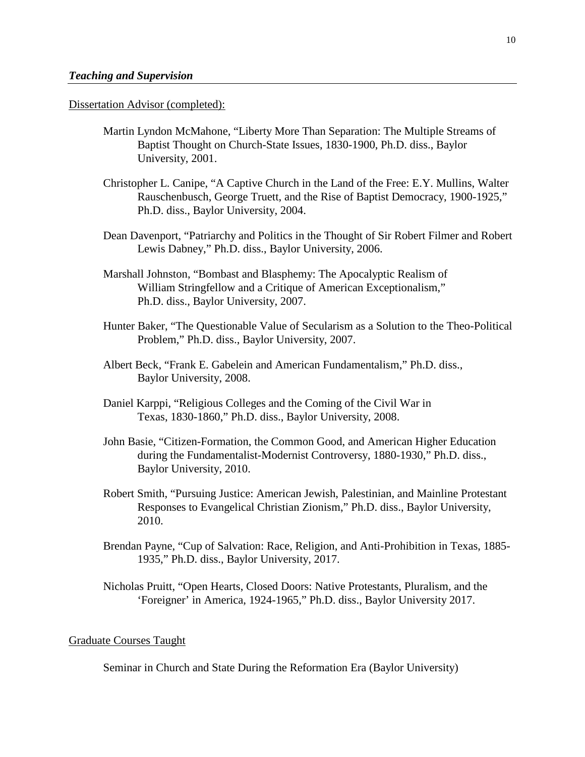Dissertation Advisor (completed):

- Martin Lyndon McMahone, "Liberty More Than Separation: The Multiple Streams of Baptist Thought on Church-State Issues, 1830-1900, Ph.D. diss., Baylor University, 2001.
- Christopher L. Canipe, "A Captive Church in the Land of the Free: E.Y. Mullins, Walter Rauschenbusch, George Truett, and the Rise of Baptist Democracy, 1900-1925," Ph.D. diss., Baylor University, 2004.
- Dean Davenport, "Patriarchy and Politics in the Thought of Sir Robert Filmer and Robert Lewis Dabney," Ph.D. diss., Baylor University, 2006.
- Marshall Johnston, "Bombast and Blasphemy: The Apocalyptic Realism of William Stringfellow and a Critique of American Exceptionalism," Ph.D. diss., Baylor University, 2007.
- Hunter Baker, "The Questionable Value of Secularism as a Solution to the Theo-Political Problem," Ph.D. diss., Baylor University, 2007.
- Albert Beck, "Frank E. Gabelein and American Fundamentalism," Ph.D. diss., Baylor University, 2008.
- Daniel Karppi, "Religious Colleges and the Coming of the Civil War in Texas, 1830-1860," Ph.D. diss., Baylor University, 2008.
- John Basie, "Citizen-Formation, the Common Good, and American Higher Education during the Fundamentalist-Modernist Controversy, 1880-1930," Ph.D. diss., Baylor University, 2010.
- Robert Smith, "Pursuing Justice: American Jewish, Palestinian, and Mainline Protestant Responses to Evangelical Christian Zionism," Ph.D. diss., Baylor University, 2010.
- Brendan Payne, "Cup of Salvation: Race, Religion, and Anti-Prohibition in Texas, 1885- 1935," Ph.D. diss., Baylor University, 2017.
- Nicholas Pruitt, "Open Hearts, Closed Doors: Native Protestants, Pluralism, and the 'Foreigner' in America, 1924-1965," Ph.D. diss., Baylor University 2017.

# Graduate Courses Taught

Seminar in Church and State During the Reformation Era (Baylor University)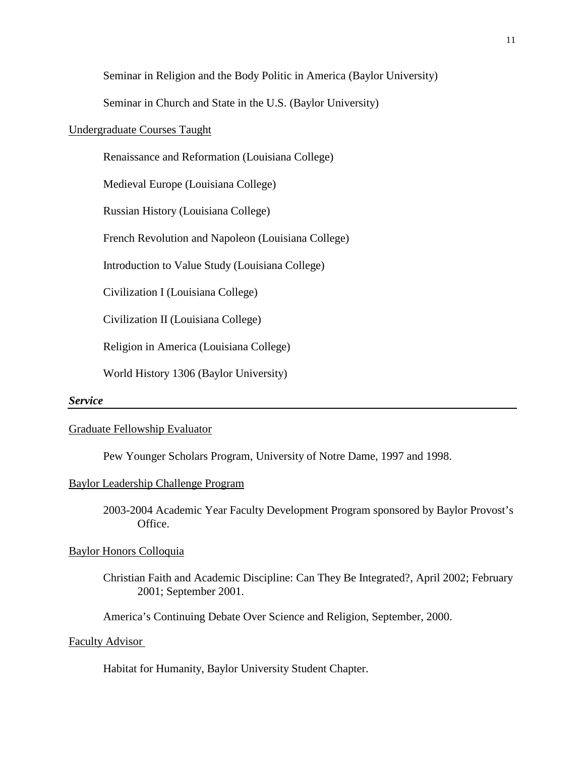Seminar in Religion and the Body Politic in America (Baylor University)

Seminar in Church and State in the U.S. (Baylor University)

## Undergraduate Courses Taught

Renaissance and Reformation (Louisiana College)

Medieval Europe (Louisiana College)

Russian History (Louisiana College)

French Revolution and Napoleon (Louisiana College)

Introduction to Value Study (Louisiana College)

Civilization I (Louisiana College)

Civilization II (Louisiana College)

Religion in America (Louisiana College)

World History 1306 (Baylor University)

#### *Service*

## Graduate Fellowship Evaluator

Pew Younger Scholars Program, University of Notre Dame, 1997 and 1998.

## Baylor Leadership Challenge Program

2003-2004 Academic Year Faculty Development Program sponsored by Baylor Provost's Office.

# Baylor Honors Colloquia

Christian Faith and Academic Discipline: Can They Be Integrated?, April 2002; February 2001; September 2001.

America's Continuing Debate Over Science and Religion, September, 2000.

## Faculty Advisor

Habitat for Humanity, Baylor University Student Chapter.